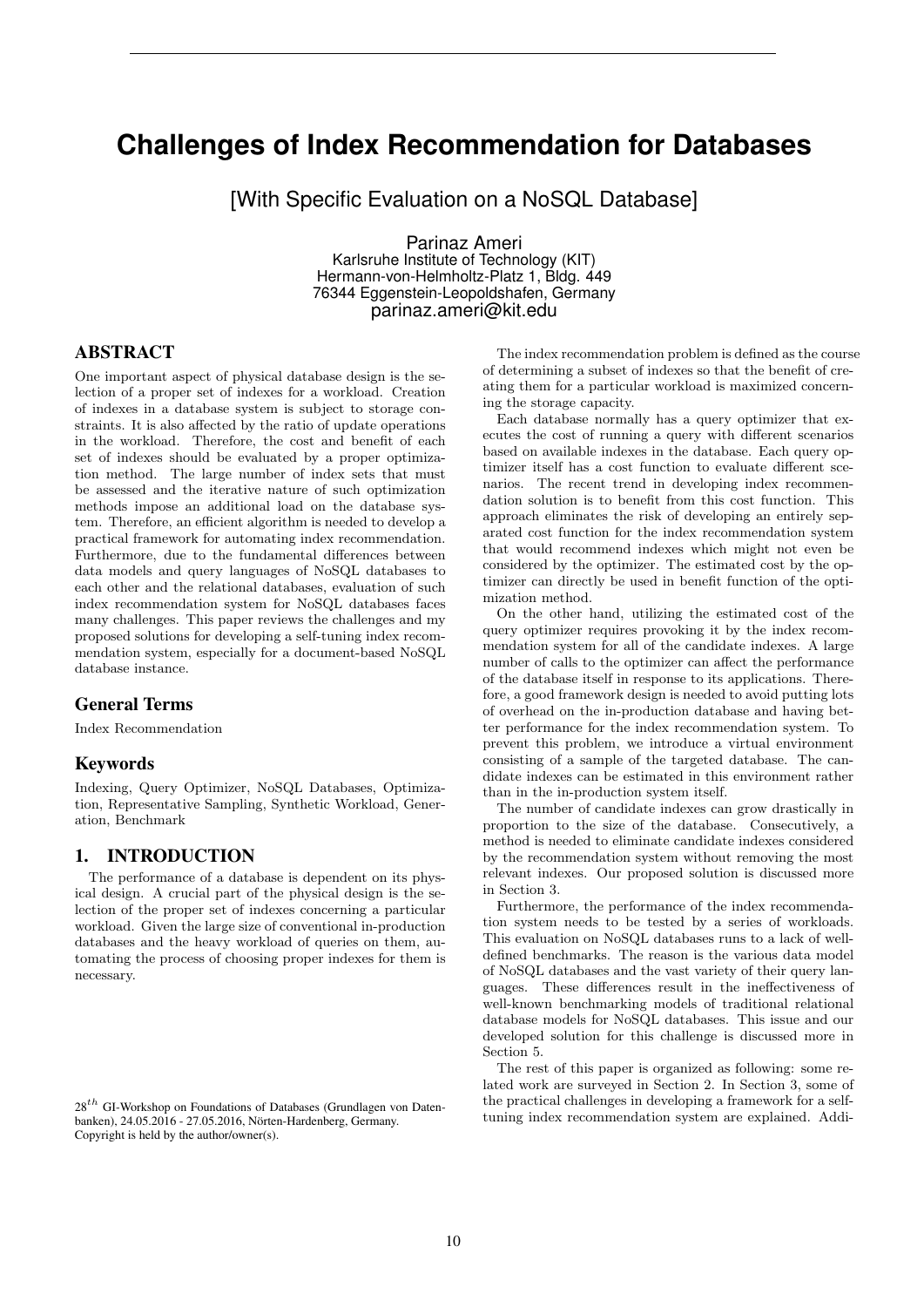# **Challenges of Index Recommendation for Databases**

[With Specific Evaluation on a NoSQL Database]

Parinaz Ameri Karlsruhe Institute of Technology (KIT) Hermann-von-Helmholtz-Platz 1, Bldg. 449 76344 Eggenstein-Leopoldshafen, Germany parinaz.ameri@kit.edu

# ABSTRACT

One important aspect of physical database design is the selection of a proper set of indexes for a workload. Creation of indexes in a database system is subject to storage constraints. It is also affected by the ratio of update operations in the workload. Therefore, the cost and benefit of each set of indexes should be evaluated by a proper optimization method. The large number of index sets that must be assessed and the iterative nature of such optimization methods impose an additional load on the database system. Therefore, an efficient algorithm is needed to develop a practical framework for automating index recommendation. Furthermore, due to the fundamental differences between data models and query languages of NoSQL databases to each other and the relational databases, evaluation of such index recommendation system for NoSQL databases faces many challenges. This paper reviews the challenges and my proposed solutions for developing a self-tuning index recommendation system, especially for a document-based NoSQL database instance.

#### General Terms

Index Recommendation

#### Keywords

Indexing, Query Optimizer, NoSQL Databases, Optimization, Representative Sampling, Synthetic Workload, Generation, Benchmark

# 1. INTRODUCTION

The performance of a database is dependent on its physical design. A crucial part of the physical design is the selection of the proper set of indexes concerning a particular workload. Given the large size of conventional in-production databases and the heavy workload of queries on them, automating the process of choosing proper indexes for them is necessary.

The index recommendation problem is defined as the course of determining a subset of indexes so that the benefit of creating them for a particular workload is maximized concerning the storage capacity.

Each database normally has a query optimizer that executes the cost of running a query with different scenarios based on available indexes in the database. Each query optimizer itself has a cost function to evaluate different scenarios. The recent trend in developing index recommendation solution is to benefit from this cost function. This approach eliminates the risk of developing an entirely separated cost function for the index recommendation system that would recommend indexes which might not even be considered by the optimizer. The estimated cost by the optimizer can directly be used in benefit function of the optimization method.

On the other hand, utilizing the estimated cost of the query optimizer requires provoking it by the index recommendation system for all of the candidate indexes. A large number of calls to the optimizer can affect the performance of the database itself in response to its applications. Therefore, a good framework design is needed to avoid putting lots of overhead on the in-production database and having better performance for the index recommendation system. To prevent this problem, we introduce a virtual environment consisting of a sample of the targeted database. The candidate indexes can be estimated in this environment rather than in the in-production system itself.

The number of candidate indexes can grow drastically in proportion to the size of the database. Consecutively, a method is needed to eliminate candidate indexes considered by the recommendation system without removing the most relevant indexes. Our proposed solution is discussed more in Section 3.

Furthermore, the performance of the index recommendation system needs to be tested by a series of workloads. This evaluation on NoSQL databases runs to a lack of welldefined benchmarks. The reason is the various data model of NoSQL databases and the vast variety of their query languages. These differences result in the ineffectiveness of well-known benchmarking models of traditional relational database models for NoSQL databases. This issue and our developed solution for this challenge is discussed more in Section 5.

The rest of this paper is organized as following: some related work are surveyed in Section 2. In Section 3, some of the practical challenges in developing a framework for a selftuning index recommendation system are explained. Addi-

 $28<sup>th</sup>$  GI-Workshop on Foundations of Databases (Grundlagen von Datenbanken), 24.05.2016 - 27.05.2016, Nörten-Hardenberg, Germany. Copyright is held by the author/owner(s).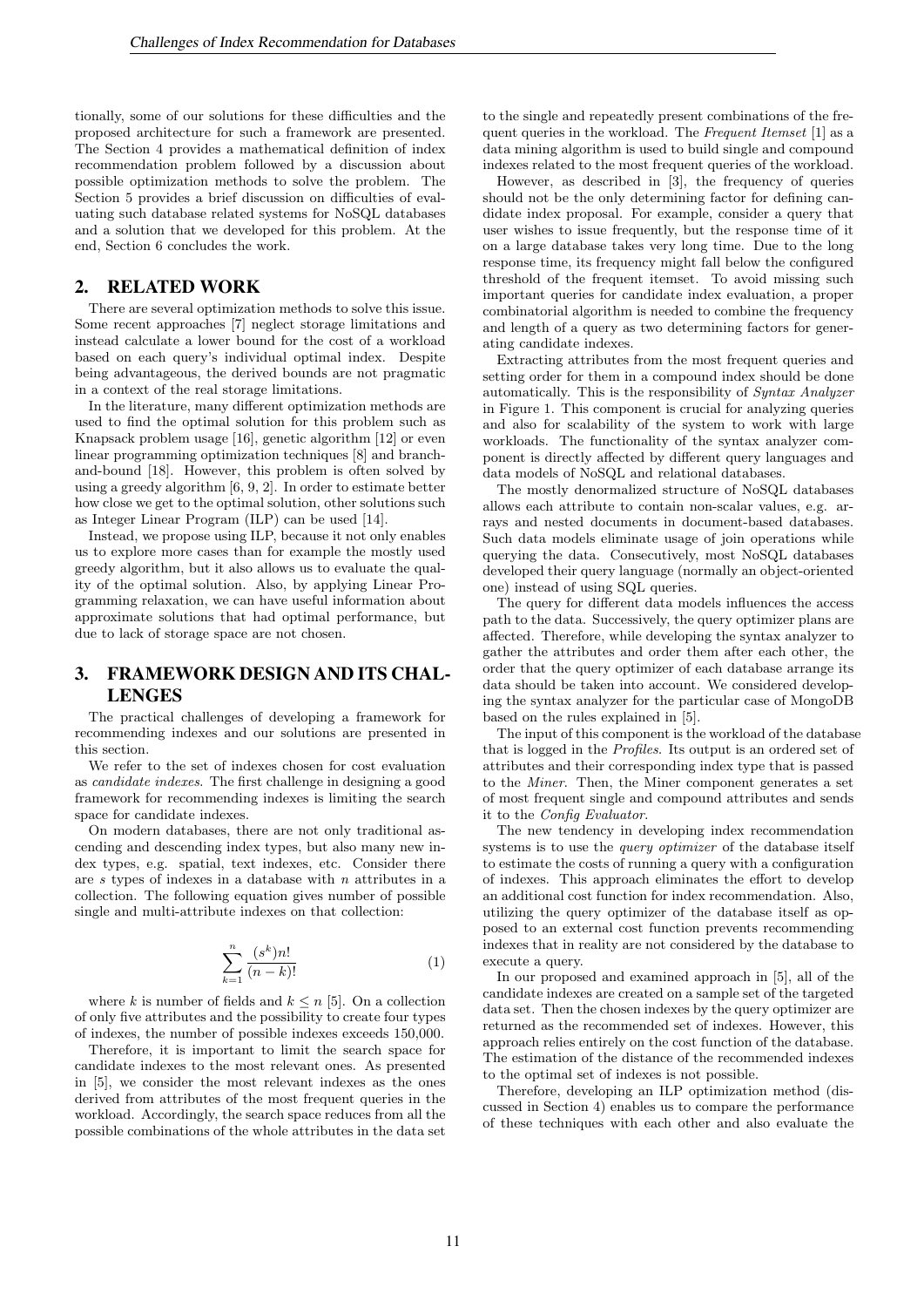tionally, some of our solutions for these difficulties and the proposed architecture for such a framework are presented. The Section 4 provides a mathematical definition of index recommendation problem followed by a discussion about possible optimization methods to solve the problem. The Section 5 provides a brief discussion on difficulties of evaluating such database related systems for NoSQL databases and a solution that we developed for this problem. At the end, Section 6 concludes the work.

#### 2. RELATED WORK

There are several optimization methods to solve this issue. Some recent approaches [7] neglect storage limitations and instead calculate a lower bound for the cost of a workload based on each query's individual optimal index. Despite being advantageous, the derived bounds are not pragmatic in a context of the real storage limitations.

In the literature, many different optimization methods are used to find the optimal solution for this problem such as Knapsack problem usage [16], genetic algorithm [12] or even linear programming optimization techniques [8] and branchand-bound [18]. However, this problem is often solved by using a greedy algorithm [6, 9, 2]. In order to estimate better how close we get to the optimal solution, other solutions such as Integer Linear Program (ILP) can be used [14].

Instead, we propose using ILP, because it not only enables us to explore more cases than for example the mostly used greedy algorithm, but it also allows us to evaluate the quality of the optimal solution. Also, by applying Linear Programming relaxation, we can have useful information about approximate solutions that had optimal performance, but due to lack of storage space are not chosen.

# 3. FRAMEWORK DESIGN AND ITS CHAL-LENGES

The practical challenges of developing a framework for recommending indexes and our solutions are presented in this section.

We refer to the set of indexes chosen for cost evaluation as candidate indexes. The first challenge in designing a good framework for recommending indexes is limiting the search space for candidate indexes.

On modern databases, there are not only traditional ascending and descending index types, but also many new index types, e.g. spatial, text indexes, etc. Consider there are s types of indexes in a database with n attributes in a collection. The following equation gives number of possible single and multi-attribute indexes on that collection:

$$
\sum_{k=1}^{n} \frac{(s^k)n!}{(n-k)!} \tag{1}
$$

where k is number of fields and  $k \leq n$  [5]. On a collection of only five attributes and the possibility to create four types of indexes, the number of possible indexes exceeds 150,000.

Therefore, it is important to limit the search space for candidate indexes to the most relevant ones. As presented in [5], we consider the most relevant indexes as the ones derived from attributes of the most frequent queries in the workload. Accordingly, the search space reduces from all the possible combinations of the whole attributes in the data set

to the single and repeatedly present combinations of the frequent queries in the workload. The Frequent Itemset [1] as a data mining algorithm is used to build single and compound indexes related to the most frequent queries of the workload.

However, as described in [3], the frequency of queries should not be the only determining factor for defining candidate index proposal. For example, consider a query that user wishes to issue frequently, but the response time of it on a large database takes very long time. Due to the long response time, its frequency might fall below the configured threshold of the frequent itemset. To avoid missing such important queries for candidate index evaluation, a proper combinatorial algorithm is needed to combine the frequency and length of a query as two determining factors for generating candidate indexes.

Extracting attributes from the most frequent queries and setting order for them in a compound index should be done automatically. This is the responsibility of Syntax Analyzer in Figure 1. This component is crucial for analyzing queries and also for scalability of the system to work with large workloads. The functionality of the syntax analyzer component is directly affected by different query languages and data models of NoSQL and relational databases.

The mostly denormalized structure of NoSQL databases allows each attribute to contain non-scalar values, e.g. arrays and nested documents in document-based databases. Such data models eliminate usage of join operations while querying the data. Consecutively, most NoSQL databases developed their query language (normally an object-oriented one) instead of using SQL queries.

The query for different data models influences the access path to the data. Successively, the query optimizer plans are affected. Therefore, while developing the syntax analyzer to gather the attributes and order them after each other, the order that the query optimizer of each database arrange its data should be taken into account. We considered developing the syntax analyzer for the particular case of MongoDB based on the rules explained in [5].

The input of this component is the workload of the database that is logged in the Profiles. Its output is an ordered set of attributes and their corresponding index type that is passed to the Miner. Then, the Miner component generates a set of most frequent single and compound attributes and sends it to the Config Evaluator.

The new tendency in developing index recommendation systems is to use the *query optimizer* of the database itself to estimate the costs of running a query with a configuration of indexes. This approach eliminates the effort to develop an additional cost function for index recommendation. Also, utilizing the query optimizer of the database itself as opposed to an external cost function prevents recommending indexes that in reality are not considered by the database to execute a query.

In our proposed and examined approach in [5], all of the candidate indexes are created on a sample set of the targeted data set. Then the chosen indexes by the query optimizer are returned as the recommended set of indexes. However, this approach relies entirely on the cost function of the database. The estimation of the distance of the recommended indexes to the optimal set of indexes is not possible.

Therefore, developing an ILP optimization method (discussed in Section 4) enables us to compare the performance of these techniques with each other and also evaluate the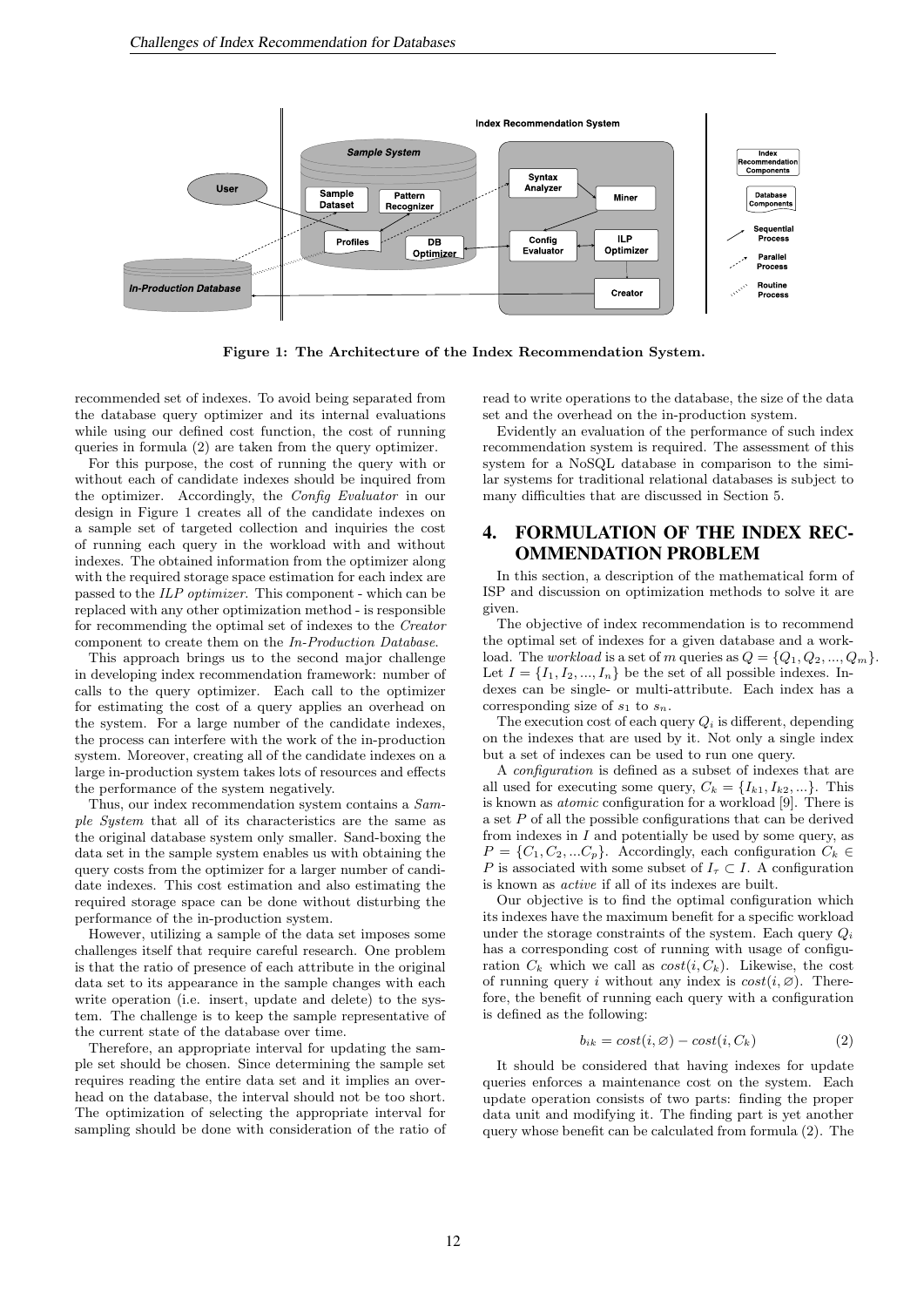

Figure 1: The Architecture of the Index Recommendation System.

recommended set of indexes. To avoid being separated from the database query optimizer and its internal evaluations while using our defined cost function, the cost of running queries in formula (2) are taken from the query optimizer.

For this purpose, the cost of running the query with or without each of candidate indexes should be inquired from the optimizer. Accordingly, the Config Evaluator in our design in Figure 1 creates all of the candidate indexes on a sample set of targeted collection and inquiries the cost of running each query in the workload with and without indexes. The obtained information from the optimizer along with the required storage space estimation for each index are passed to the ILP optimizer. This component - which can be replaced with any other optimization method - is responsible for recommending the optimal set of indexes to the Creator component to create them on the In-Production Database.

This approach brings us to the second major challenge in developing index recommendation framework: number of calls to the query optimizer. Each call to the optimizer for estimating the cost of a query applies an overhead on the system. For a large number of the candidate indexes, the process can interfere with the work of the in-production system. Moreover, creating all of the candidate indexes on a large in-production system takes lots of resources and effects the performance of the system negatively.

Thus, our index recommendation system contains a Sample System that all of its characteristics are the same as the original database system only smaller. Sand-boxing the data set in the sample system enables us with obtaining the query costs from the optimizer for a larger number of candidate indexes. This cost estimation and also estimating the required storage space can be done without disturbing the performance of the in-production system.

However, utilizing a sample of the data set imposes some challenges itself that require careful research. One problem is that the ratio of presence of each attribute in the original data set to its appearance in the sample changes with each write operation (i.e. insert, update and delete) to the system. The challenge is to keep the sample representative of the current state of the database over time.

Therefore, an appropriate interval for updating the sample set should be chosen. Since determining the sample set requires reading the entire data set and it implies an overhead on the database, the interval should not be too short. The optimization of selecting the appropriate interval for sampling should be done with consideration of the ratio of read to write operations to the database, the size of the data set and the overhead on the in-production system.

Evidently an evaluation of the performance of such index recommendation system is required. The assessment of this system for a NoSQL database in comparison to the similar systems for traditional relational databases is subject to many difficulties that are discussed in Section 5.

## 4. FORMULATION OF THE INDEX REC-OMMENDATION PROBLEM

In this section, a description of the mathematical form of ISP and discussion on optimization methods to solve it are given.

The objective of index recommendation is to recommend the optimal set of indexes for a given database and a workload. The *workload* is a set of m queries as  $Q = \{Q_1, Q_2, ..., Q_m\}$ . Let  $I = \{I_1, I_2, ..., I_n\}$  be the set of all possible indexes. Indexes can be single- or multi-attribute. Each index has a corresponding size of  $s_1$  to  $s_n$ .

The execution cost of each query  $Q_i$  is different, depending on the indexes that are used by it. Not only a single index but a set of indexes can be used to run one query.

A configuration is defined as a subset of indexes that are all used for executing some query,  $C_k = \{I_{k1}, I_{k2}, ...\}$ . This is known as atomic configuration for a workload [9]. There is a set P of all the possible configurations that can be derived from indexes in  $I$  and potentially be used by some query, as  $P = \{C_1, C_2, ... C_p\}$ . Accordingly, each configuration  $C_k \in$ P is associated with some subset of  $I_{\tau} \subset I$ . A configuration is known as active if all of its indexes are built.

Our objective is to find the optimal configuration which its indexes have the maximum benefit for a specific workload under the storage constraints of the system. Each query  $Q_i$ has a corresponding cost of running with usage of configuration  $C_k$  which we call as  $cost(i, C_k)$ . Likewise, the cost of running query i without any index is  $cost(i, \emptyset)$ . Therefore, the benefit of running each query with a configuration is defined as the following:

$$
b_{ik} = cost(i, \emptyset) - cost(i, C_k)
$$
 (2)

It should be considered that having indexes for update queries enforces a maintenance cost on the system. Each update operation consists of two parts: finding the proper data unit and modifying it. The finding part is yet another query whose benefit can be calculated from formula (2). The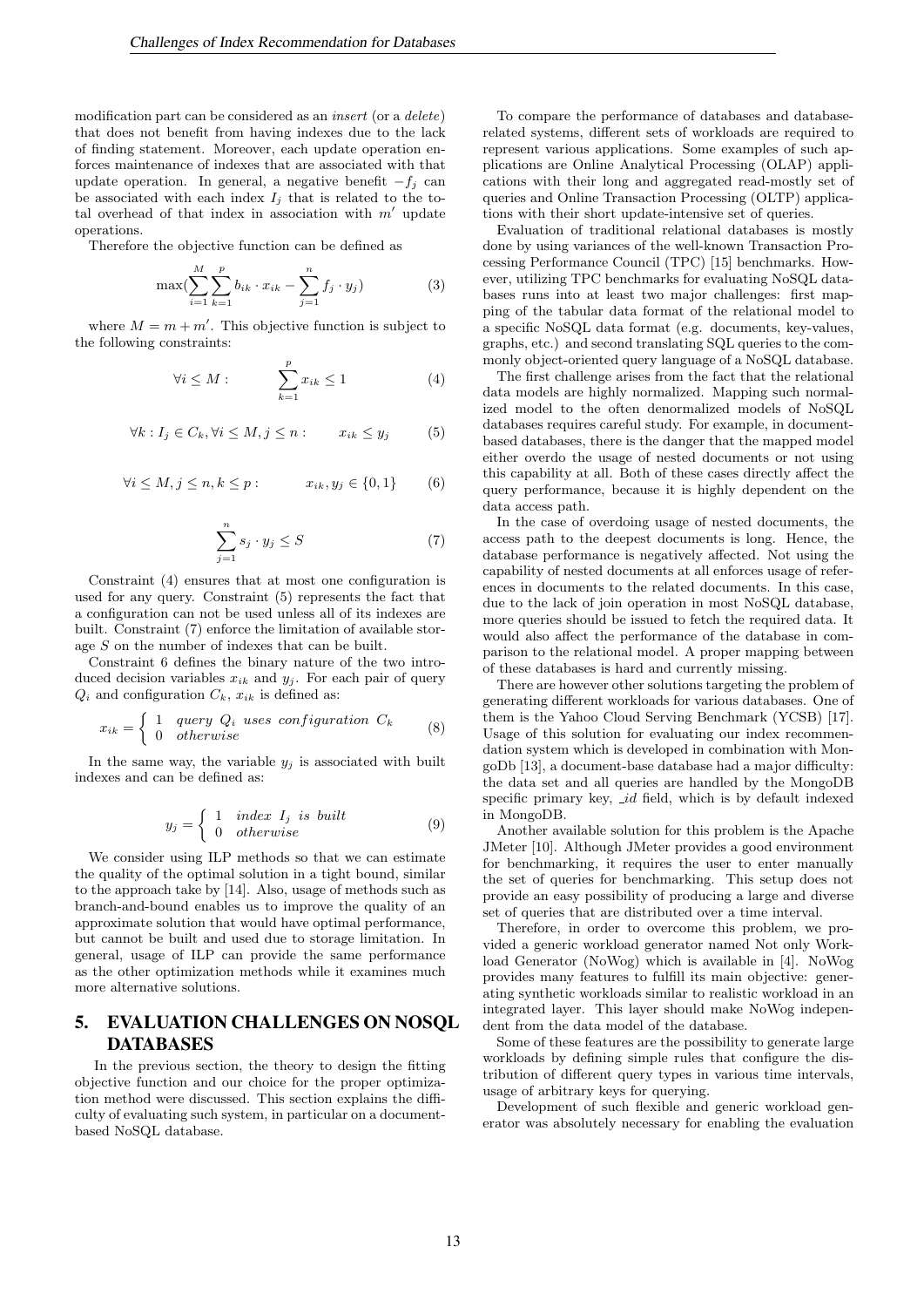modification part can be considered as an insert (or a delete) that does not benefit from having indexes due to the lack of finding statement. Moreover, each update operation enforces maintenance of indexes that are associated with that update operation. In general, a negative benefit  $-f_i$  can be associated with each index  $I_i$  that is related to the total overhead of that index in association with  $m'$  update operations.

Therefore the objective function can be defined as

$$
\max(\sum_{i=1}^{M} \sum_{k=1}^{p} b_{ik} \cdot x_{ik} - \sum_{j=1}^{n} f_j \cdot y_j)
$$
 (3)

where  $M = m + m'$ . This objective function is subject to the following constraints:

$$
\forall i \le M : \qquad \sum_{k=1}^{p} x_{ik} \le 1 \tag{4}
$$

$$
\forall k: I_j \in C_k, \forall i \le M, j \le n: \qquad x_{ik} \le y_j \tag{5}
$$

$$
\forall i \le M, j \le n, k \le p: \qquad x_{ik}, y_j \in \{0, 1\} \qquad (6)
$$

$$
\sum_{j=1}^{n} s_j \cdot y_j \le S \tag{7}
$$

Constraint (4) ensures that at most one configuration is used for any query. Constraint (5) represents the fact that a configuration can not be used unless all of its indexes are built. Constraint (7) enforce the limitation of available storage S on the number of indexes that can be built.

Constraint 6 defines the binary nature of the two introduced decision variables  $x_{ik}$  and  $y_i$ . For each pair of query  $Q_i$  and configuration  $C_k$ ,  $x_{ik}$  is defined as:

$$
x_{ik} = \begin{cases} 1 & query \ Q_i \ uses \ configuration \ C_k \\ 0 & otherwise \end{cases} \tag{8}
$$

In the same way, the variable  $y_i$  is associated with built indexes and can be defined as:

$$
y_j = \begin{cases} 1 & index \ I_j \ is \ built \\ 0 & otherwise \end{cases} \tag{9}
$$

We consider using ILP methods so that we can estimate the quality of the optimal solution in a tight bound, similar to the approach take by [14]. Also, usage of methods such as branch-and-bound enables us to improve the quality of an approximate solution that would have optimal performance, but cannot be built and used due to storage limitation. In general, usage of ILP can provide the same performance as the other optimization methods while it examines much more alternative solutions.

# 5. EVALUATION CHALLENGES ON NOSQL DATABASES

In the previous section, the theory to design the fitting objective function and our choice for the proper optimization method were discussed. This section explains the difficulty of evaluating such system, in particular on a documentbased NoSQL database.

To compare the performance of databases and databaserelated systems, different sets of workloads are required to represent various applications. Some examples of such applications are Online Analytical Processing (OLAP) applications with their long and aggregated read-mostly set of queries and Online Transaction Processing (OLTP) applications with their short update-intensive set of queries.

Evaluation of traditional relational databases is mostly done by using variances of the well-known Transaction Processing Performance Council (TPC) [15] benchmarks. However, utilizing TPC benchmarks for evaluating NoSQL databases runs into at least two major challenges: first mapping of the tabular data format of the relational model to a specific NoSQL data format (e.g. documents, key-values, graphs, etc.) and second translating SQL queries to the commonly object-oriented query language of a NoSQL database.

The first challenge arises from the fact that the relational data models are highly normalized. Mapping such normalized model to the often denormalized models of NoSQL databases requires careful study. For example, in documentbased databases, there is the danger that the mapped model either overdo the usage of nested documents or not using this capability at all. Both of these cases directly affect the query performance, because it is highly dependent on the data access path.

In the case of overdoing usage of nested documents, the access path to the deepest documents is long. Hence, the database performance is negatively affected. Not using the capability of nested documents at all enforces usage of references in documents to the related documents. In this case, due to the lack of join operation in most NoSQL database, more queries should be issued to fetch the required data. It would also affect the performance of the database in comparison to the relational model. A proper mapping between of these databases is hard and currently missing.

There are however other solutions targeting the problem of generating different workloads for various databases. One of them is the Yahoo Cloud Serving Benchmark (YCSB) [17]. Usage of this solution for evaluating our index recommendation system which is developed in combination with MongoDb [13], a document-base database had a major difficulty: the data set and all queries are handled by the MongoDB specific primary key, id field, which is by default indexed in MongoDB.

Another available solution for this problem is the Apache JMeter [10]. Although JMeter provides a good environment for benchmarking, it requires the user to enter manually the set of queries for benchmarking. This setup does not provide an easy possibility of producing a large and diverse set of queries that are distributed over a time interval.

Therefore, in order to overcome this problem, we provided a generic workload generator named Not only Workload Generator (NoWog) which is available in [4]. NoWog provides many features to fulfill its main objective: generating synthetic workloads similar to realistic workload in an integrated layer. This layer should make NoWog independent from the data model of the database.

Some of these features are the possibility to generate large workloads by defining simple rules that configure the distribution of different query types in various time intervals, usage of arbitrary keys for querying.

Development of such flexible and generic workload generator was absolutely necessary for enabling the evaluation